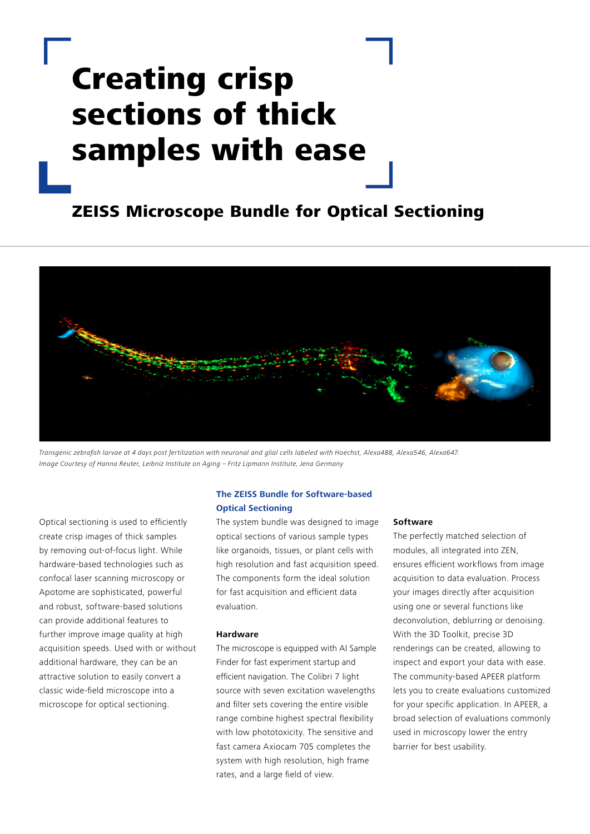# Creating crisp sections of thick samples with ease

## ZEISS Microscope Bundle for Optical Sectioning



Transgenic zebrafish larvae at 4 days post fertilization with neuronal and glial cells labeled with Hoechst, Alexa488, Alexa546, Alexa647. Image Courtesy of Hanna Reuter, Leibniz Institute on Aging – Fritz Lipmann Institute, Jena Germany

Optical sectioning is used to efficiently create crisp images of thick samples by removing out-of-focus light. While hardware-based technologies such as confocal laser scanning microscopy or Apotome are sophisticated, powerful and robust, software-based solutions can provide additional features to further improve image quality at high acquisition speeds. Used with or without additional hardware, they can be an attractive solution to easily convert a classic wide-field microscope into a microscope for optical sectioning.

#### **The ZEISS Bundle for Software-based Optical Sectioning**

The system bundle was designed to image optical sections of various sample types like organoids, tissues, or plant cells with high resolution and fast acquisition speed. The components form the ideal solution for fast acquisition and efficient data evaluation.

#### **Hardware**

The microscope is equipped with AI Sample Finder for fast experiment startup and efficient navigation. The Colibri 7 light source with seven excitation wavelengths and filter sets covering the entire visible range combine highest spectral flexibility with low phototoxicity. The sensitive and fast camera Axiocam 705 completes the system with high resolution, high frame rates, and a large field of view.

#### **Software**

The perfectly matched selection of modules, all integrated into ZEN, ensures efficient workflows from image acquisition to data evaluation. Process your images directly after acquisition using one or several functions like deconvolution, deblurring or denoising. With the 3D Toolkit, precise 3D renderings can be created, allowing to inspect and export your data with ease. The community-based APEER platform lets you to create evaluations customized for your specific application. In APEER, a broad selection of evaluations commonly used in microscopy lower the entry barrier for best usability.